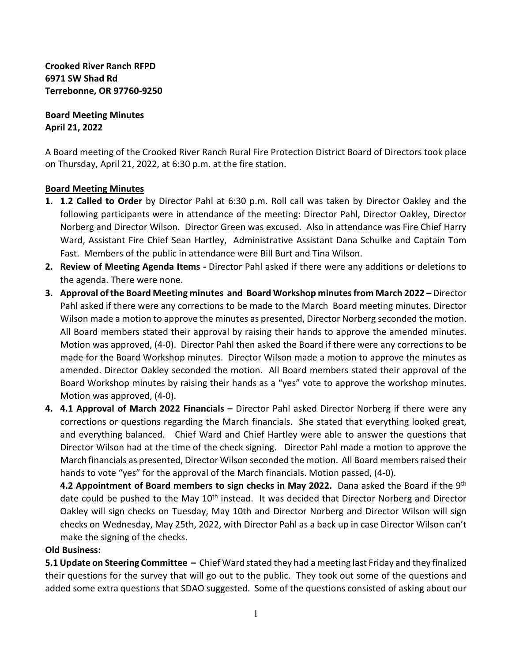**Crooked River Ranch RFPD 6971 SW Shad Rd Terrebonne, OR 97760-9250**

**Board Meeting Minutes April 21, 2022**

A Board meeting of the Crooked River Ranch Rural Fire Protection District Board of Directors took place on Thursday, April 21, 2022, at 6:30 p.m. at the fire station.

## **Board Meeting Minutes**

- **1. 1.2 Called to Order** by Director Pahl at 6:30 p.m. Roll call was taken by Director Oakley and the following participants were in attendance of the meeting: Director Pahl, Director Oakley, Director Norberg and Director Wilson. Director Green was excused. Also in attendance was Fire Chief Harry Ward, Assistant Fire Chief Sean Hartley, Administrative Assistant Dana Schulke and Captain Tom Fast. Members of the public in attendance were Bill Burt and Tina Wilson.
- **2. Review of Meeting Agenda Items** Director Pahl asked if there were any additions or deletions to the agenda. There were none.
- **3. Approval of the Board Meeting minutes and Board Workshop minutes from March 2022** Director Pahl asked if there were any corrections to be made to the March Board meeting minutes. Director Wilson made a motion to approve the minutes as presented, Director Norberg seconded the motion. All Board members stated their approval by raising their hands to approve the amended minutes. Motion was approved, (4-0). Director Pahl then asked the Board if there were any corrections to be made for the Board Workshop minutes. Director Wilson made a motion to approve the minutes as amended. Director Oakley seconded the motion. All Board members stated their approval of the Board Workshop minutes by raising their hands as a "yes" vote to approve the workshop minutes. Motion was approved, (4-0).
- **4. 4.1 Approval of March 2022 Financials** Director Pahl asked Director Norberg if there were any corrections or questions regarding the March financials. She stated that everything looked great, and everything balanced. Chief Ward and Chief Hartley were able to answer the questions that Director Wilson had at the time of the check signing. Director Pahl made a motion to approve the March financials as presented, Director Wilson seconded the motion. All Board members raised their hands to vote "yes" for the approval of the March financials. Motion passed, (4-0).

**4.2 Appointment of Board members to sign checks in May 2022.** Dana asked the Board if the 9th date could be pushed to the May 10<sup>th</sup> instead. It was decided that Director Norberg and Director Oakley will sign checks on Tuesday, May 10th and Director Norberg and Director Wilson will sign checks on Wednesday, May 25th, 2022, with Director Pahl as a back up in case Director Wilson can't make the signing of the checks.

## **Old Business:**

**5.1 Update on Steering Committee –** Chief Ward stated they had a meeting last Friday and they finalized their questions for the survey that will go out to the public. They took out some of the questions and added some extra questions that SDAO suggested. Some of the questions consisted of asking about our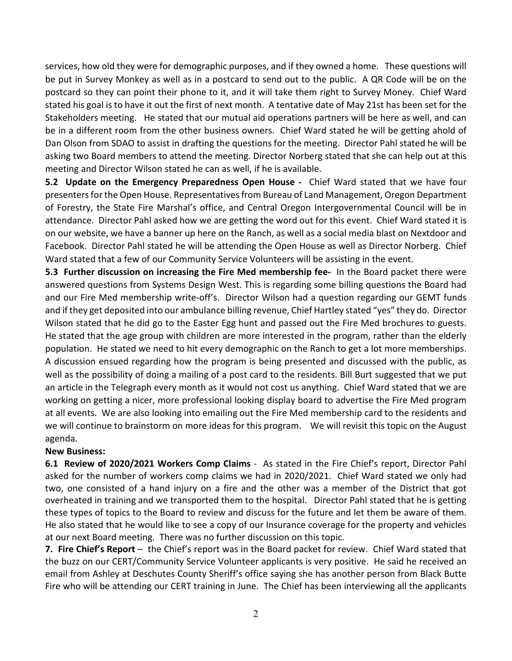services, how old they were for demographic purposes, and if they owned a home. These questions will be put in Survey Monkey as well as in a postcard to send out to the public. A QR Code will be on the postcard so they can point their phone to it, and it will take them right to Survey Money. Chief Ward stated his goal is to have it out the first of next month. A tentative date of May 21st has been set for the Stakeholders meeting. He stated that our mutual aid operations partners will be here as well, and can be in a different room from the other business owners. Chief Ward stated he will be getting ahold of Dan Olson from SDAO to assist in drafting the questions for the meeting. Director Pahl stated he will be asking two Board members to attend the meeting. Director Norberg stated that she can help out at this meeting and Director Wilson stated he can as well, if he is available.

**5.2 Update on the Emergency Preparedness Open House -** Chief Ward stated that we have four presenters for the Open House. Representatives from Bureau of Land Management, Oregon Department of Forestry, the State Fire Marshal's office, and Central Oregon Intergovernmental Council will be in attendance. Director Pahl asked how we are getting the word out for this event. Chief Ward stated it is on our website, we have a banner up here on the Ranch, as well as a social media blast on Nextdoor and Facebook. Director Pahl stated he will be attending the Open House as well as Director Norberg. Chief Ward stated that a few of our Community Service Volunteers will be assisting in the event.

**5.3 Further discussion on increasing the Fire Med membership fee-** In the Board packet there were answered questions from Systems Design West. This is regarding some billing questions the Board had and our Fire Med membership write-off's. Director Wilson had a question regarding our GEMT funds and if they get deposited into our ambulance billing revenue, Chief Hartley stated "yes" they do. Director Wilson stated that he did go to the Easter Egg hunt and passed out the Fire Med brochures to guests. He stated that the age group with children are more interested in the program, rather than the elderly population. He stated we need to hit every demographic on the Ranch to get a lot more memberships. A discussion ensued regarding how the program is being presented and discussed with the public, as well as the possibility of doing a mailing of a post card to the residents. Bill Burt suggested that we put an article in the Telegraph every month as it would not cost us anything. Chief Ward stated that we are working on getting a nicer, more professional looking display board to advertise the Fire Med program at all events. We are also looking into emailing out the Fire Med membership card to the residents and we will continue to brainstorm on more ideas for this program. We will revisit this topic on the August agenda.

## **New Business:**

**6.1 Review of 2020/2021 Workers Comp Claims** -As stated in the Fire Chief's report, Director Pahl asked for the number of workers comp claims we had in 2020/2021. Chief Ward stated we only had two, one consisted of a hand injury on a fire and the other was a member of the District that got overheated in training and we transported them to the hospital. Director Pahl stated that he is getting these types of topics to the Board to review and discuss for the future and let them be aware of them. He also stated that he would like to see a copy of our Insurance coverage for the property and vehicles at our next Board meeting. There was no further discussion on this topic.

**7. Fire Chief's Report** – the Chief's report was in the Board packet for review. Chief Ward stated that the buzz on our CERT/Community Service Volunteer applicants is very positive. He said he received an email from Ashley at Deschutes County Sheriff's office saying she has another person from Black Butte Fire who will be attending our CERT training in June. The Chief has been interviewing all the applicants